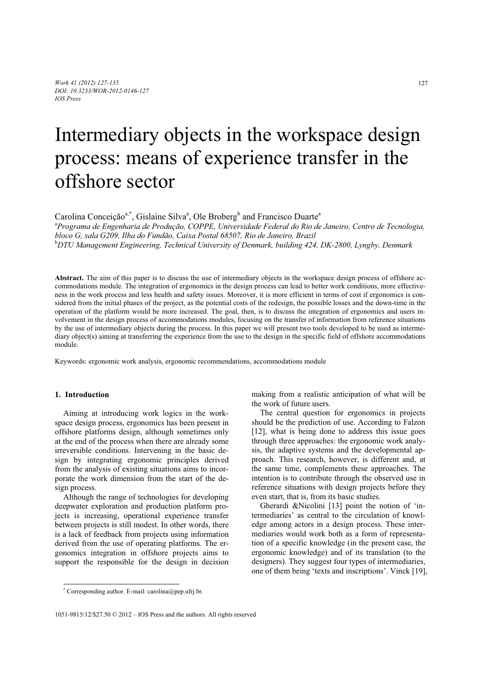# Intermediary objects in the workspace design process: means of experience transfer in the offshore sector

Carolina Conceição<sup>a,\*</sup>, Gislaine Silva<sup>a</sup>, Ole Broberg<sup>b</sup> and Francisco Duarte<sup>a</sup>

a *Programa de Engenharia de Produção, COPPE, Universidade Federal do Rio de Janeiro, Centro de Tecnologia, bloco G, sala G209, Ilha do Fundão, Caixa Postal 68507, Rio de Janeiro, Brazil*  b *DTU Management Engineering, Technical University of Denmark, building 424, DK-2800, Lyngby, Denmark* 

**Abstract.** The aim of this paper is to discuss the use of intermediary objects in the workspace design process of offshore accommodations module. The integration of ergonomics in the design process can lead to better work conditions, more effectiveness in the work process and less health and safety issues. Moreover, it is more efficient in terms of cost if ergonomics is considered from the initial phases of the project, as the potential costs of the redesign, the possible losses and the down-time in the operation of the platform would be more increased. The goal, then, is to discuss the integration of ergonomics and users involvement in the design process of accommodations modules, focusing on the transfer of information from reference situations by the use of intermediary objects during the process. In this paper we will present two tools developed to be used as intermediary object(s) aiming at transferring the experience from the use to the design in the specific field of offshore accommodations module.

Keywords: ergonomic work analysis, ergonomic recommendations, accommodations module

# **1. Introduction**

j

Aiming at introducing work logics in the workspace design process, ergonomics has been present in offshore platforms design, although sometimes only at the end of the process when there are already some irreversible conditions. Intervening in the basic design by integrating ergonomic principles derived from the analysis of existing situations aims to incorporate the work dimension from the start of the design process.

Although the range of technologies for developing deepwater exploration and production platform projects is increasing, operational experience transfer between projects is still modest. In other words, there is a lack of feedback from projects using information derived from the use of operating platforms. The ergonomics integration in offshore projects aims to support the responsible for the design in decision

making from a realistic anticipation of what will be the work of future users.

The central question for ergonomics in projects should be the prediction of use. According to Falzon [12], what is being done to address this issue goes through three approaches: the ergonomic work analysis, the adaptive systems and the developmental approach. This research, however, is different and, at the same time, complements these approaches. The intention is to contribute through the observed use in reference situations with design projects before they even start, that is, from its basic studies.

Gherardi &Nicolini [13] point the notion of 'intermediaries' as central to the circulation of knowledge among actors in a design process. These intermediaries would work both as a form of representation of a specific knowledge (in the present case, the ergonomic knowledge) and of its translation (to the designers). They suggest four types of intermediaries, one of them being 'texts and inscriptions'. Vinck [19],

<sup>\*</sup> Corresponding author. E-mail: carolina@pep.ufrj.br.

<sup>1051-9815/12/\$27.50 © 2012 –</sup> IOS Press and the authors. All rights reserved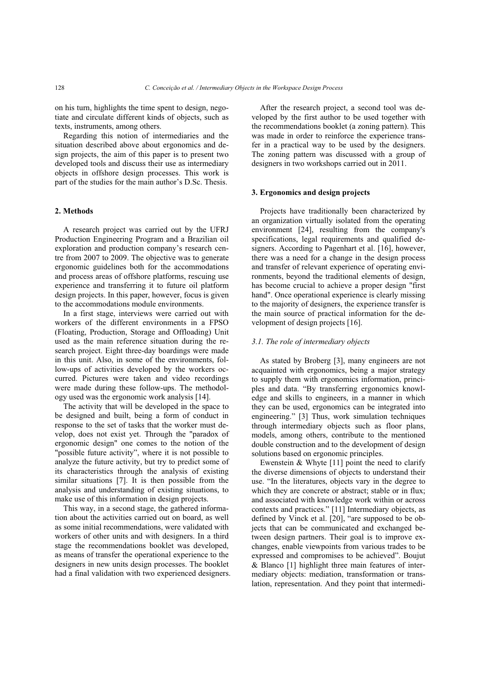on his turn, highlights the time spent to design, negotiate and circulate different kinds of objects, such as texts, instruments, among others.

Regarding this notion of intermediaries and the situation described above about ergonomics and design projects, the aim of this paper is to present two developed tools and discuss their use as intermediary objects in offshore design processes. This work is part of the studies for the main author's D.Sc. Thesis.

# **2. Methods**

A research project was carried out by the UFRJ Production Engineering Program and a Brazilian oil exploration and production company's research centre from 2007 to 2009. The objective was to generate ergonomic guidelines both for the accommodations and process areas of offshore platforms, rescuing use experience and transferring it to future oil platform design projects. In this paper, however, focus is given to the accommodations module environments.

In a first stage, interviews were carried out with workers of the different environments in a FPSO (Floating, Production, Storage and Offloading) Unit used as the main reference situation during the research project. Eight three-day boardings were made in this unit. Also, in some of the environments, follow-ups of activities developed by the workers occurred. Pictures were taken and video recordings were made during these follow-ups. The methodology used was the ergonomic work analysis [14].

The activity that will be developed in the space to be designed and built, being a form of conduct in response to the set of tasks that the worker must develop, does not exist yet. Through the "paradox of ergonomic design" one comes to the notion of the "possible future activity", where it is not possible to analyze the future activity, but try to predict some of its characteristics through the analysis of existing similar situations [7]. It is then possible from the analysis and understanding of existing situations, to make use of this information in design projects.

This way, in a second stage, the gathered information about the activities carried out on board, as well as some initial recommendations, were validated with workers of other units and with designers. In a third stage the recommendations booklet was developed, as means of transfer the operational experience to the designers in new units design processes. The booklet had a final validation with two experienced designers.

After the research project, a second tool was developed by the first author to be used together with the recommendations booklet (a zoning pattern). This was made in order to reinforce the experience transfer in a practical way to be used by the designers. The zoning pattern was discussed with a group of designers in two workshops carried out in 2011.

## **3. Ergonomics and design projects**

Projects have traditionally been characterized by an organization virtually isolated from the operating environment [24], resulting from the company's specifications, legal requirements and qualified designers. According to Pagenhart et al. [16], however, there was a need for a change in the design process and transfer of relevant experience of operating environments, beyond the traditional elements of design, has become crucial to achieve a proper design "first hand". Once operational experience is clearly missing to the majority of designers, the experience transfer is the main source of practical information for the development of design projects [16].

## *3.1. The role of intermediary objects*

As stated by Broberg [3], many engineers are not acquainted with ergonomics, being a major strategy to supply them with ergonomics information, principles and data. "By transferring ergonomics knowledge and skills to engineers, in a manner in which they can be used, ergonomics can be integrated into engineering." [3] Thus, work simulation techniques through intermediary objects such as floor plans, models, among others, contribute to the mentioned double construction and to the development of design solutions based on ergonomic principles.

Ewenstein & Whyte [11] point the need to clarify the diverse dimensions of objects to understand their use. "In the literatures, objects vary in the degree to which they are concrete or abstract; stable or in flux; and associated with knowledge work within or across contexts and practices." [11] Intermediary objects, as defined by Vinck et al. [20], "are supposed to be objects that can be communicated and exchanged between design partners. Their goal is to improve exchanges, enable viewpoints from various trades to be expressed and compromises to be achieved". Boujut & Blanco [1] highlight three main features of intermediary objects: mediation, transformation or translation, representation. And they point that intermedi-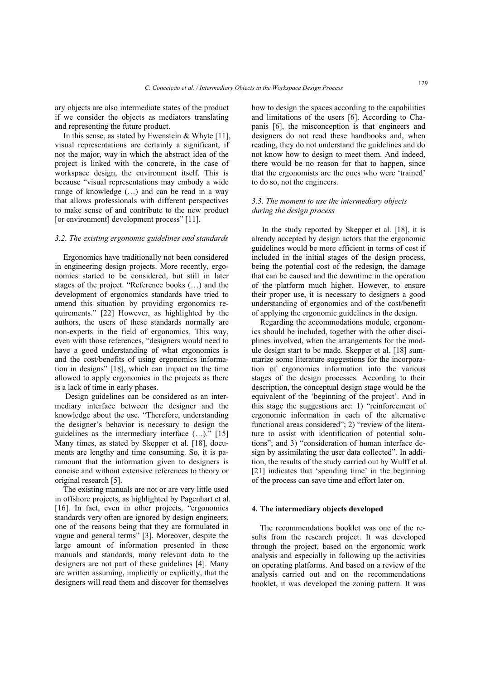ary objects are also intermediate states of the product if we consider the objects as mediators translating and representing the future product.

In this sense, as stated by Ewenstein & Whyte [11], visual representations are certainly a significant, if not the major, way in which the abstract idea of the project is linked with the concrete, in the case of workspace design, the environment itself. This is because "visual representations may embody a wide range of knowledge (…) and can be read in a way that allows professionals with different perspectives to make sense of and contribute to the new product [or environment] development process" [11].

## *3.2. The existing ergonomic guidelines and standards*

Ergonomics have traditionally not been considered in engineering design projects. More recently, ergonomics started to be considered, but still in later stages of the project. "Reference books (…) and the development of ergonomics standards have tried to amend this situation by providing ergonomics requirements." [22] However, as highlighted by the authors, the users of these standards normally are non-experts in the field of ergonomics. This way, even with those references, "designers would need to have a good understanding of what ergonomics is and the cost/benefits of using ergonomics information in designs" [18], which can impact on the time allowed to apply ergonomics in the projects as there is a lack of time in early phases.

 Design guidelines can be considered as an intermediary interface between the designer and the knowledge about the use. "Therefore, understanding the designer's behavior is necessary to design the guidelines as the intermediary interface (…)." [15] Many times, as stated by Skepper et al. [18], documents are lengthy and time consuming. So, it is paramount that the information given to designers is concise and without extensive references to theory or original research [5].

The existing manuals are not or are very little used in offshore projects, as highlighted by Pagenhart et al. [16]. In fact, even in other projects, "ergonomics standards very often are ignored by design engineers, one of the reasons being that they are formulated in vague and general terms" [3]. Moreover, despite the large amount of information presented in these manuals and standards, many relevant data to the designers are not part of these guidelines [4]. Many are written assuming, implicitly or explicitly, that the designers will read them and discover for themselves

how to design the spaces according to the capabilities and limitations of the users [6]. According to Chapanis [6], the misconception is that engineers and designers do not read these handbooks and, when reading, they do not understand the guidelines and do not know how to design to meet them. And indeed, there would be no reason for that to happen, since that the ergonomists are the ones who were 'trained' to do so, not the engineers.

# *3.3. The moment to use the intermediary objects during the design process*

 In the study reported by Skepper et al. [18], it is already accepted by design actors that the ergonomic guidelines would be more efficient in terms of cost if included in the initial stages of the design process, being the potential cost of the redesign, the damage that can be caused and the downtime in the operation of the platform much higher. However, to ensure their proper use, it is necessary to designers a good understanding of ergonomics and of the cost/benefit of applying the ergonomic guidelines in the design.

Regarding the accommodations module, ergonomics should be included, together with the other disciplines involved, when the arrangements for the module design start to be made. Skepper et al. [18] summarize some literature suggestions for the incorporation of ergonomics information into the various stages of the design processes. According to their description, the conceptual design stage would be the equivalent of the 'beginning of the project'. And in this stage the suggestions are: 1) "reinforcement of ergonomic information in each of the alternative functional areas considered"; 2) "review of the literature to assist with identification of potential solutions"; and 3) "consideration of human interface design by assimilating the user data collected". In addition, the results of the study carried out by Wulff et al. [21] indicates that 'spending time' in the beginning of the process can save time and effort later on.

## **4. The intermediary objects developed**

The recommendations booklet was one of the results from the research project. It was developed through the project, based on the ergonomic work analysis and especially in following up the activities on operating platforms. And based on a review of the analysis carried out and on the recommendations booklet, it was developed the zoning pattern. It was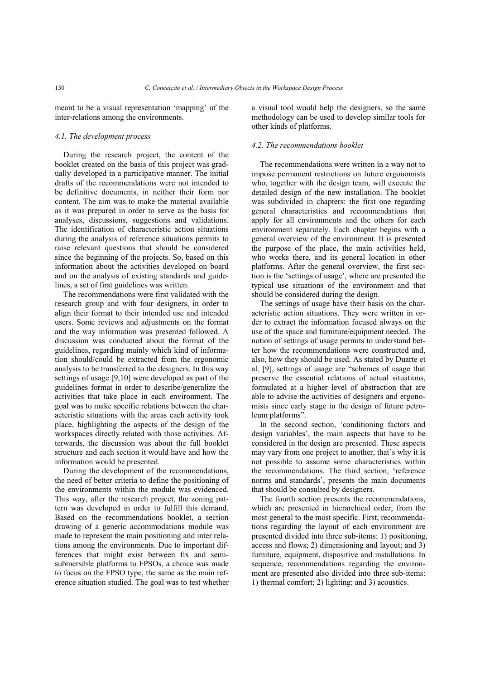meant to be a visual representation 'mapping' of the inter-relations among the environments.

## *4.1. The development process*

During the research project, the content of the booklet created on the basis of this project was gradually developed in a participative manner. The initial drafts of the recommendations were not intended to be definitive documents, in neither their form nor content. The aim was to make the material available as it was prepared in order to serve as the basis for analyses, discussions, suggestions and validations. The identification of characteristic action situations during the analysis of reference situations permits to raise relevant questions that should be considered since the beginning of the projects. So, based on this information about the activities developed on board and on the analysis of existing standards and guidelines, a set of first guidelines was written.

The recommendations were first validated with the research group and with four designers, in order to align their format to their intended use and intended users. Some reviews and adjustments on the format and the way information was presented followed. A discussion was conducted about the format of the guidelines, regarding mainly which kind of information should/could be extracted from the ergonomic analysis to be transferred to the designers. In this way settings of usage [9,10] were developed as part of the guidelines format in order to describe/generalize the activities that take place in each environment. The goal was to make specific relations between the characteristic situations with the areas each activity took place, highlighting the aspects of the design of the workspaces directly related with those activities. Afterwards, the discussion was about the full booklet structure and each section it would have and how the information would be presented.

During the development of the recommendations, the need of better criteria to define the positioning of the environments within the module was evidenced. This way, after the research project, the zoning pattern was developed in order to fulfill this demand. Based on the recommendations booklet, a section drawing of a generic accommodations module was made to represent the main positioning and inter relations among the environments. Due to important differences that might exist between fix and semisubmersible platforms to FPSOs, a choice was made to focus on the FPSO type, the same as the main reference situation studied. The goal was to test whether a visual tool would help the designers, so the same methodology can be used to develop similar tools for other kinds of platforms.

# *4.2. The recommendations booklet*

The recommendations were written in a way not to impose permanent restrictions on future ergonomists who, together with the design team, will execute the detailed design of the new installation. The booklet was subdivided in chapters: the first one regarding general characteristics and recommendations that apply for all environments and the others for each environment separately. Each chapter begins with a general overview of the environment. It is presented the purpose of the place, the main activities held, who works there, and its general location in other platforms. After the general overview, the first section is the 'settings of usage', where are presented the typical use situations of the environment and that should be considered during the design.

The settings of usage have their basis on the characteristic action situations. They were written in order to extract the information focused always on the use of the space and furniture/equipment needed. The notion of settings of usage permits to understand better how the recommendations were constructed and, also, how they should be used. As stated by Duarte et al. [9], settings of usage are "schemes of usage that preserve the essential relations of actual situations, formulated at a higher level of abstraction that are able to advise the activities of designers and ergonomists since early stage in the design of future petroleum platforms".

In the second section, 'conditioning factors and design variables', the main aspects that have to be considered in the design are presented. These aspects may vary from one project to another, that's why it is not possible to assume some characteristics within the recommendations. The third section, 'reference norms and standards', presents the main documents that should be consulted by designers.

The fourth section presents the recommendations, which are presented in hierarchical order, from the most general to the most specific. First, recommendations regarding the layout of each environment are presented divided into three sub-items: 1) positioning, access and flows; 2) dimensioning and layout; and 3) furniture, equipment, dispositive and installations. In sequence, recommendations regarding the environment are presented also divided into three sub-items: 1) thermal comfort; 2) lighting; and 3) acoustics.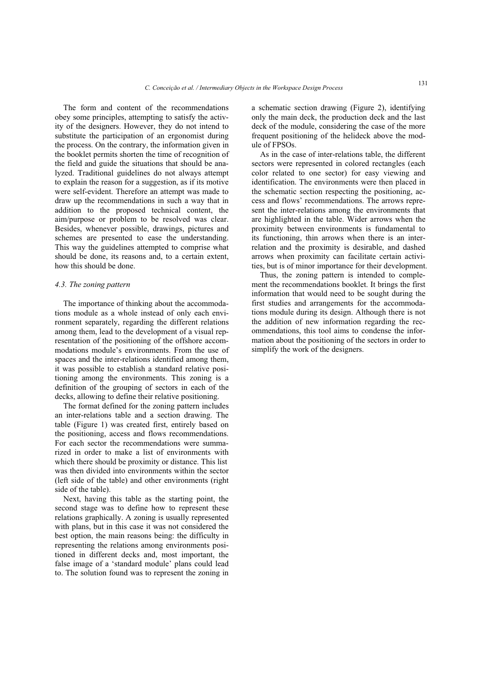The form and content of the recommendations obey some principles, attempting to satisfy the activity of the designers. However, they do not intend to substitute the participation of an ergonomist during the process. On the contrary, the information given in the booklet permits shorten the time of recognition of the field and guide the situations that should be analyzed. Traditional guidelines do not always attempt to explain the reason for a suggestion, as if its motive were self-evident. Therefore an attempt was made to draw up the recommendations in such a way that in addition to the proposed technical content, the aim/purpose or problem to be resolved was clear. Besides, whenever possible, drawings, pictures and schemes are presented to ease the understanding. This way the guidelines attempted to comprise what should be done, its reasons and, to a certain extent, how this should be done.

## *4.3. The zoning pattern*

The importance of thinking about the accommodations module as a whole instead of only each environment separately, regarding the different relations among them, lead to the development of a visual representation of the positioning of the offshore accommodations module's environments. From the use of spaces and the inter-relations identified among them, it was possible to establish a standard relative positioning among the environments. This zoning is a definition of the grouping of sectors in each of the decks, allowing to define their relative positioning.

The format defined for the zoning pattern includes an inter-relations table and a section drawing. The table (Figure 1) was created first, entirely based on the positioning, access and flows recommendations. For each sector the recommendations were summarized in order to make a list of environments with which there should be proximity or distance. This list was then divided into environments within the sector (left side of the table) and other environments (right side of the table).

Next, having this table as the starting point, the second stage was to define how to represent these relations graphically. A zoning is usually represented with plans, but in this case it was not considered the best option, the main reasons being: the difficulty in representing the relations among environments positioned in different decks and, most important, the false image of a 'standard module' plans could lead to. The solution found was to represent the zoning in

a schematic section drawing (Figure 2), identifying only the main deck, the production deck and the last deck of the module, considering the case of the more frequent positioning of the helideck above the module of FPSOs.

As in the case of inter-relations table, the different sectors were represented in colored rectangles (each color related to one sector) for easy viewing and identification. The environments were then placed in the schematic section respecting the positioning, access and flows' recommendations. The arrows represent the inter-relations among the environments that are highlighted in the table. Wider arrows when the proximity between environments is fundamental to its functioning, thin arrows when there is an interrelation and the proximity is desirable, and dashed arrows when proximity can facilitate certain activities, but is of minor importance for their development.

Thus, the zoning pattern is intended to complement the recommendations booklet. It brings the first information that would need to be sought during the first studies and arrangements for the accommodations module during its design. Although there is not the addition of new information regarding the recommendations, this tool aims to condense the information about the positioning of the sectors in order to simplify the work of the designers.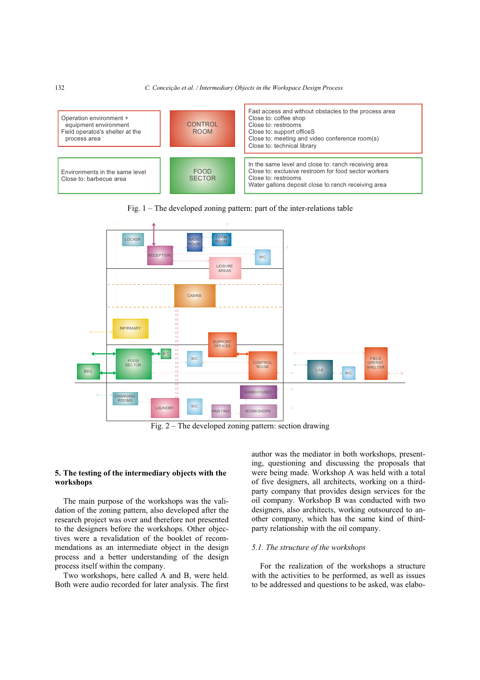





Fig. 2 – The developed zoning pattern: section drawing

# **5. The testing of the intermediary objects with the workshops**

The main purpose of the workshops was the validation of the zoning pattern, also developed after the research project was over and therefore not presented to the designers before the workshops. Other objectives were a revalidation of the booklet of recommendations as an intermediate object in the design process and a better understanding of the design process itself within the company.

Two workshops, here called A and B, were held. Both were audio recorded for later analysis. The first author was the mediator in both workshops, presenting, questioning and discussing the proposals that were being made. Workshop A was held with a total of five designers, all architects, working on a thirdparty company that provides design services for the oil company. Workshop B was conducted with two designers, also architects, working outsourced to another company, which has the same kind of thirdparty relationship with the oil company.

# *5.1. The structure of the workshops*

For the realization of the workshops a structure with the activities to be performed, as well as issues to be addressed and questions to be asked, was elabo-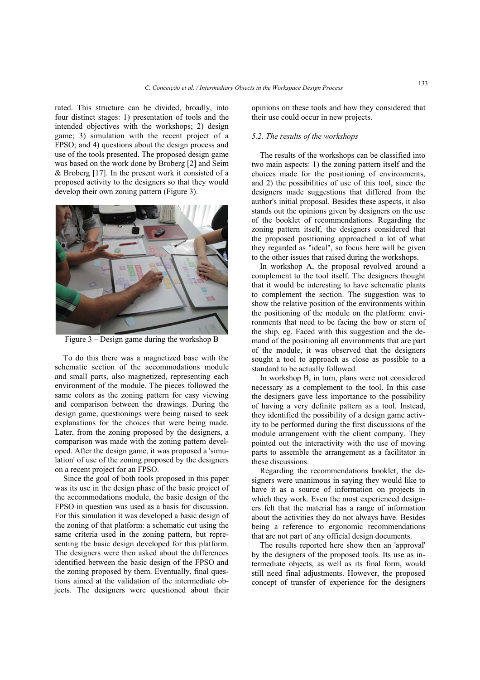rated. This structure can be divided, broadly, into four distinct stages: 1) presentation of tools and the intended objectives with the workshops; 2) design game; 3) simulation with the recent project of a FPSO; and 4) questions about the design process and use of the tools presented. The proposed design game was based on the work done by Broberg [2] and Seim & Broberg [17]. In the present work it consisted of a proposed activity to the designers so that they would develop their own zoning pattern (Figure 3).



Figure 3 – Design game during the workshop B

To do this there was a magnetized base with the schematic section of the accommodations module and small parts, also magnetized, representing each environment of the module. The pieces followed the same colors as the zoning pattern for easy viewing and comparison between the drawings. During the design game, questionings were being raised to seek explanations for the choices that were being made. Later, from the zoning proposed by the designers, a comparison was made with the zoning pattern developed. After the design game, it was proposed a 'simulation' of use of the zoning proposed by the designers on a recent project for an FPSO.

Since the goal of both tools proposed in this paper was its use in the design phase of the basic project of the accommodations module, the basic design of the FPSO in question was used as a basis for discussion. For this simulation it was developed a basic design of the zoning of that platform: a schematic cut using the same criteria used in the zoning pattern, but representing the basic design developed for this platform. The designers were then asked about the differences identified between the basic design of the FPSO and the zoning proposed by them. Eventually, final questions aimed at the validation of the intermediate objects. The designers were questioned about their opinions on these tools and how they considered that their use could occur in new projects.

# *5.2. The results of the workshops*

The results of the workshops can be classified into two main aspects: 1) the zoning pattern itself and the choices made for the positioning of environments, and 2) the possibilities of use of this tool, since the designers made suggestions that differed from the author's initial proposal. Besides these aspects, it also stands out the opinions given by designers on the use of the booklet of recommendations. Regarding the zoning pattern itself, the designers considered that the proposed positioning approached a lot of what they regarded as "ideal", so focus here will be given to the other issues that raised during the workshops.

In workshop A, the proposal revolved around a complement to the tool itself. The designers thought that it would be interesting to have schematic plants to complement the section. The suggestion was to show the relative position of the environments within the positioning of the module on the platform: environments that need to be facing the bow or stern of the ship, eg. Faced with this suggestion and the demand of the positioning all environments that are part of the module, it was observed that the designers sought a tool to approach as close as possible to a standard to be actually followed.

In workshop B, in turn, plans were not considered necessary as a complement to the tool. In this case the designers gave less importance to the possibility of having a very definite pattern as a tool. Instead, they identified the possibility of a design game activity to be performed during the first discussions of the module arrangement with the client company. They pointed out the interactivity with the use of moving parts to assemble the arrangement as a facilitator in these discussions.

Regarding the recommendations booklet, the designers were unanimous in saying they would like to have it as a source of information on projects in which they work. Even the most experienced designers felt that the material has a range of information about the activities they do not always have. Besides being a reference to ergonomic recommendations that are not part of any official design documents.

The results reported here show then an 'approval' by the designers of the proposed tools. Its use as intermediate objects, as well as its final form, would still need final adjustments. However, the proposed concept of transfer of experience for the designers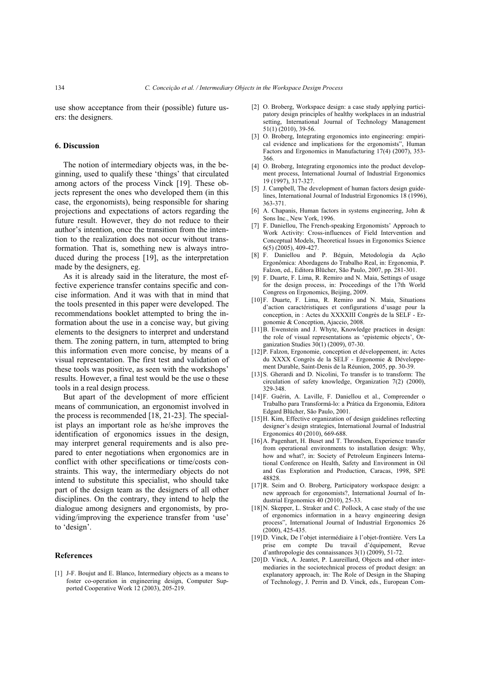use show acceptance from their (possible) future users: the designers.

# **6. Discussion**

The notion of intermediary objects was, in the beginning, used to qualify these 'things' that circulated among actors of the process Vinck [19]. These objects represent the ones who developed them (in this case, the ergonomists), being responsible for sharing projections and expectations of actors regarding the future result. However, they do not reduce to their author's intention, once the transition from the intention to the realization does not occur without transformation. That is, something new is always introduced during the process [19], as the interpretation made by the designers, eg.

As it is already said in the literature, the most effective experience transfer contains specific and concise information. And it was with that in mind that the tools presented in this paper were developed. The recommendations booklet attempted to bring the information about the use in a concise way, but giving elements to the designers to interpret and understand them. The zoning pattern, in turn, attempted to bring this information even more concise, by means of a visual representation. The first test and validation of these tools was positive, as seen with the workshops' results. However, a final test would be the use o these tools in a real design process.

But apart of the development of more efficient means of communication, an ergonomist involved in the process is recommended [18, 21-23]. The specialist plays an important role as he/she improves the identification of ergonomics issues in the design, may interpret general requirements and is also prepared to enter negotiations when ergonomics are in conflict with other specifications or time/costs constraints. This way, the intermediary objects do not intend to substitute this specialist, who should take part of the design team as the designers of all other disciplines. On the contrary, they intend to help the dialogue among designers and ergonomists, by providing/improving the experience transfer from 'use' to 'design'.

## **References**

[1] J-F. Boujut and E. Blanco, Intermediary objects as a means to foster co-operation in engineering design, Computer Supported Cooperative Work 12 (2003), 205-219.

- [2] O. Broberg, Workspace design: a case study applying participatory design principles of healthy workplaces in an industrial setting, International Journal of Technology Management 51(1) (2010), 39-56.
- [3] O. Broberg, Integrating ergonomics into engineering: empirical evidence and implications for the ergonomists", Human Factors and Ergonomics in Manufacturing 17(4) (2007), 353- 366.
- [4] O. Broberg, Integrating ergonomics into the product development process, International Journal of Industrial Ergonomics 19 (1997), 317-327.
- [5] J. Campbell, The development of human factors design guidelines, International Journal of Industrial Ergonomics 18 (1996), 363-371.
- [6] A. Chapanis, Human factors in systems engineering, John & Sons Inc., New York, 1996.
- [7] F. Daniellou, The French-speaking Ergonomists' Approach to Work Activity: Cross-influences of Field Intervention and Conceptual Models, Theoretical Issues in Ergonomics Science 6(5) (2005), 409-427.
- [8] F. Daniellou and P. Béguin, Metodologia da Ação Ergonômica: Abordagens do Trabalho Real, in: Ergonomia, P. Falzon, ed., Editora Blücher, São Paulo, 2007, pp. 281-301.
- [9] F. Duarte, F. Lima, R. Remiro and N. Maia, Settings of usage for the design process, in: Proceedings of the 17th World Congress on Ergonomics, Beijing, 2009.
- [10]F. Duarte, F. Lima, R. Remiro and N. Maia, Situations d'action caractéristiques et configurations d'usage pour la conception, in : Actes du XXXXIII Congrès de la SELF - Ergonomie & Conception, Ajaccio, 2008.
- [11]B. Ewenstein and J. Whyte, Knowledge practices in design: the role of visual representations as 'epistemic objects', Organization Studies 30(1) (2009), 07-30.
- [12]P. Falzon, Ergonomie, conception et développement, in: Actes du XXXX Congrès de la SELF - Ergonomie & Développement Durable, Saint-Denis de la Réunion, 2005, pp. 30-39.
- [13]S. Gherardi and D. Nicolini, To transfer is to transform: The circulation of safety knowledge, Organization 7(2) (2000), 329-348.
- [14]F. Guérin, A. Laville, F. Daniellou et al., Compreender o Trabalho para Transformá-lo: a Prática da Ergonomia, Editora Edgard Blücher, São Paulo, 2001.
- [15]H. Kim, Effective organization of design guidelines reflecting designer's design strategies, International Journal of Industrial Ergonomics 40 (2010), 669-688.
- [16]A. Pagenhart, H. Buset and T. Throndsen, Experience transfer from operational environments to installation design: Why, how and what?, in: Society of Petroleum Engineers International Conference on Health, Safety and Environment in Oil and Gas Exploration and Production, Caracas, 1998, SPE 48828.
- [17]R. Seim and O. Broberg, Participatory workspace design: a new approach for ergonomists?, International Journal of Industrial Ergonomics 40 (2010), 25-33.
- [18]N. Skepper, L. Straker and C. Pollock, A case study of the use of ergonomics information in a heavy engineering design process", International Journal of Industrial Ergonomics 26 (2000), 425-435.
- [19]D. Vinck, De l'objet intermédiaire à l'objet-frontière. Vers La prise em compte Du travail d'équipement, Revue d'anthropologie des connaissances 3(1) (2009), 51-72.
- [20]D. Vinck, A. Jeantet, P. Laureillard, Objects and other intermediaries in the sociotechnical process of product design: an explanatory approach, in: The Role of Design in the Shaping of Technology, J. Perrin and D. Vinck, eds., European Com-